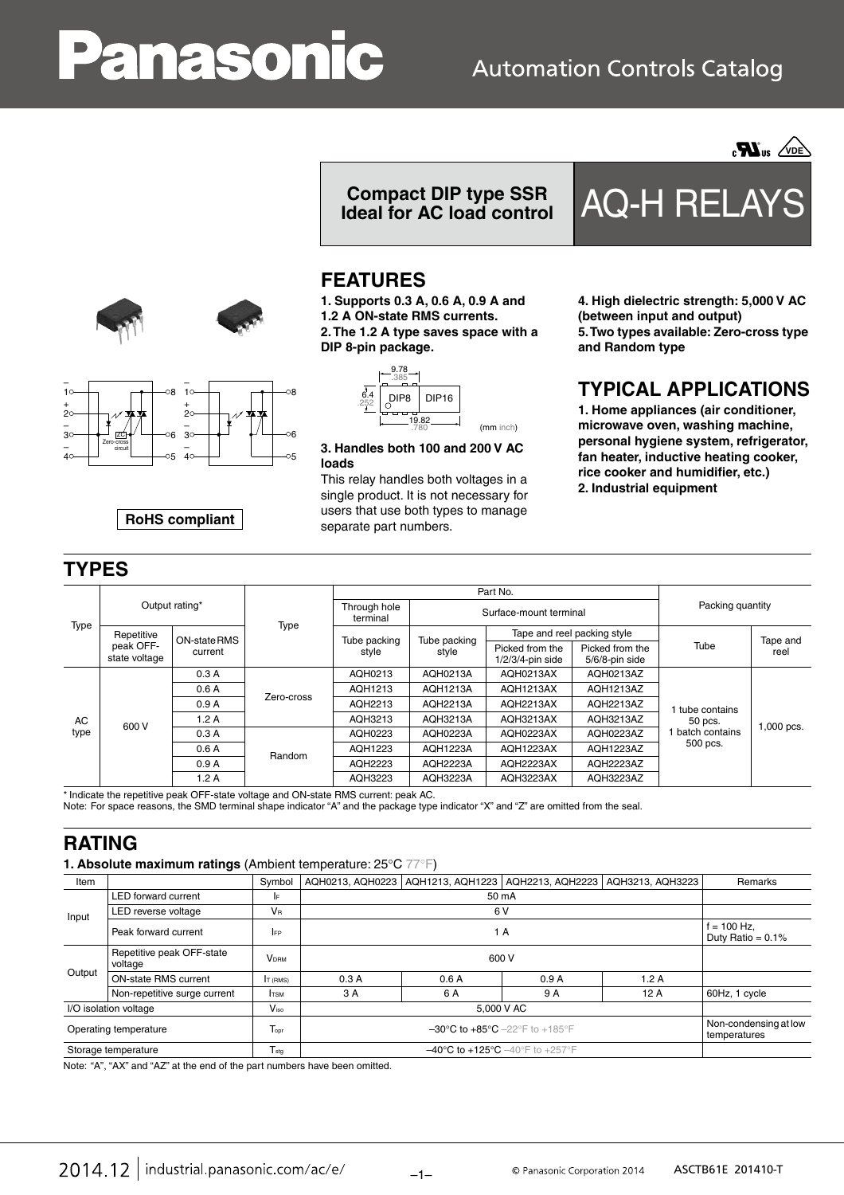# anason

## **Automation Controls Catalog**



**Compact DIP type SSR Ideal for AC load control** AQ-H RELAYS

## **FEATURES**

**1. Supports 0.3 A, 0.6 A, 0.9 A and 1.2 A ON-state RMS currents. 2. The 1.2 A type saves space with a DIP 8-pin package.**

> $DIP8$  DIP16  $\begin{array}{c|c}\n 9.82 & \longrightarrow \\
> \hline\n 780 & \text{(mm inch)}\n \end{array}$ 9.78 .252 .780 .385

**3. Handles both 100 and 200 V AC loads**

This relay handles both voltages in a single product. It is not necessary for users that use both types to manage separate part numbers.

**4. High dielectric strength: 5,000 V AC (between input and output) 5. Two types available: Zero-cross type and Random type**

## **TYPICAL APPLICATIONS**

**1. Home appliances (air conditioner, microwave oven, washing machine, personal hygiene system, refrigerator, fan heater, inductive heating cooker, rice cooker and humidifier, etc.) 2. Industrial equipment**

| Type       | Output rating*                           |                         |                      | Part No.                 |                        |                                        |                                   |                                                        |                  |
|------------|------------------------------------------|-------------------------|----------------------|--------------------------|------------------------|----------------------------------------|-----------------------------------|--------------------------------------------------------|------------------|
|            |                                          |                         |                      | Through hole<br>terminal | Surface-mount terminal |                                        |                                   | Packing quantity                                       |                  |
|            | Repetitive<br>peak OFF-<br>state voltage | ON-state RMS<br>current | Type                 | Tube packing<br>style    |                        | Tape and reel packing style            |                                   |                                                        |                  |
|            |                                          |                         |                      |                          | Tube packing<br>style  | Picked from the<br>$1/2/3/4$ -pin side | Picked from the<br>5/6/8-pin side | Tube                                                   | Tape and<br>reel |
| AC<br>type | 600 V                                    | 0.3A                    | Zero-cross<br>Random | AQH0213                  | AQH0213A               | AQH0213AX                              | AQH0213AZ                         | tube contains<br>50 pcs.<br>batch contains<br>500 pcs. | 1,000 pcs.       |
|            |                                          | 0.6A                    |                      | AQH1213                  | AQH1213A               | AQH1213AX                              | AQH1213AZ                         |                                                        |                  |
|            |                                          | 0.9A                    |                      | AQH2213                  | <b>AQH2213A</b>        | AQH2213AX                              | AQH2213AZ                         |                                                        |                  |
|            |                                          | 1.2A                    |                      | AQH3213                  | AQH3213A               | AQH3213AX                              | AQH3213AZ                         |                                                        |                  |
|            |                                          | 0.3A                    |                      | AQH0223                  | <b>AQH0223A</b>        | AQH0223AX                              | AQH0223AZ                         |                                                        |                  |
|            |                                          | 0.6A                    |                      | AQH1223                  | <b>AQH1223A</b>        | AQH1223AX                              | AQH1223AZ                         |                                                        |                  |
|            |                                          | 0.9A                    |                      | AQH2223                  | <b>AQH2223A</b>        | AQH2223AX                              | AQH2223AZ                         |                                                        |                  |
|            |                                          | 1.2A                    |                      | AQH3223                  | <b>AQH3223A</b>        | AQH3223AX                              | AQH3223AZ                         |                                                        |                  |

Note: For space reasons, the SMD terminal shape indicator "A" and the package type indicator "X" and "Z" are omitted from the seal.

### **RATING**

#### **1. Absolute maximum ratings** (Ambient temperature: 25°C 77°F)

| Item                  |                                      | Symbol                  | AQH0213, AQH0223                                                       |                                       | AQH1213, AQH1223   AQH2213, AQH2223 | AQH3213, AQH3223 | Remarks                               |
|-----------------------|--------------------------------------|-------------------------|------------------------------------------------------------------------|---------------------------------------|-------------------------------------|------------------|---------------------------------------|
| Input                 | <b>LED forward current</b>           | IF.                     |                                                                        |                                       |                                     |                  |                                       |
|                       | LED reverse voltage                  | <b>VR</b>               |                                                                        |                                       |                                     |                  |                                       |
|                       | Peak forward current                 | <b>IFP</b>              |                                                                        | $f = 100$ Hz.<br>Duty Ratio = $0.1\%$ |                                     |                  |                                       |
| Output                | Repetitive peak OFF-state<br>voltage | <b>V</b> <sub>DRM</sub> | 600 V                                                                  |                                       |                                     |                  |                                       |
|                       | <b>ON-state RMS current</b>          | IT (RMS)                | 0.3A                                                                   | 0.6A                                  | 0.9A                                | 1.2A             |                                       |
|                       | Non-repetitive surge current         | <b>I</b> TSM            | 3 A                                                                    | 6 A                                   | 9 A                                 | 12A              | 60Hz, 1 cycle                         |
| I/O isolation voltage |                                      | $V_{\rm iso}$           |                                                                        |                                       |                                     |                  |                                       |
| Operating temperature |                                      | Topr                    | $-30^{\circ}$ C to $+85^{\circ}$ C $-22^{\circ}$ F to $+185^{\circ}$ F |                                       |                                     |                  | Non-condensing at low<br>temperatures |
| Storage temperature   |                                      | $T_{\text{stg}}$        |                                                                        |                                       |                                     |                  |                                       |

Note: "A", "AX" and "AZ" at the end of the part numbers have been omitted.



**RoHS compliant**

|  | 2014.12   industrial.panasonic.com/ac/e/ |
|--|------------------------------------------|
|--|------------------------------------------|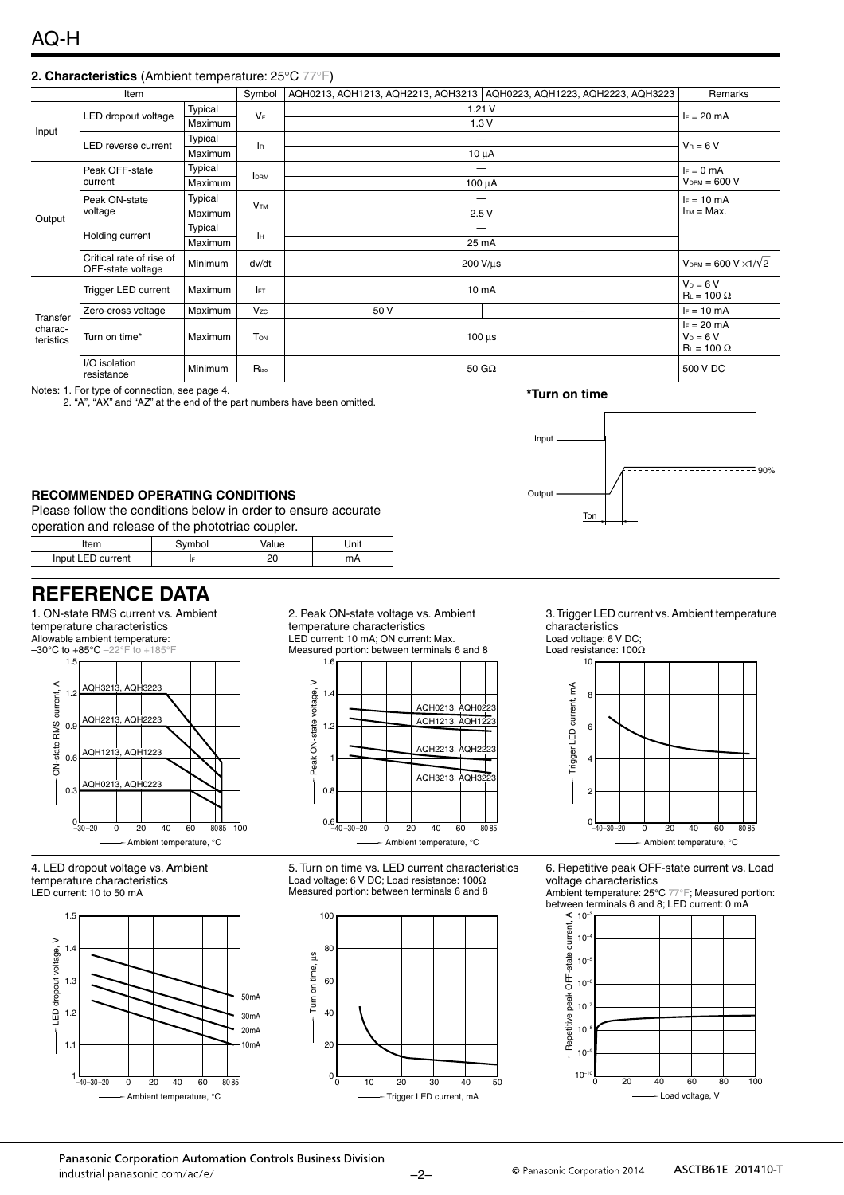#### **2. Characteristics** (Ambient temperature: 25°C 77°F)

| Item                             |                                               |         | Symbol                | AQH0213, AQH1213, AQH2213, AQH3213   AQH0223, AQH1223, AQH2223, AQH3223 |                                | Remarks                                            |
|----------------------------------|-----------------------------------------------|---------|-----------------------|-------------------------------------------------------------------------|--------------------------------|----------------------------------------------------|
| Input                            | LED dropout voltage                           | Typical |                       | 1.21V                                                                   |                                | $F = 20$ mA                                        |
|                                  |                                               | Maximum | $V_F$                 | 1.3V                                                                    |                                |                                                    |
|                                  | LED reverse current                           | Typical | lв.                   |                                                                         |                                | $V_B = 6 V$                                        |
|                                  |                                               | Maximum |                       | $10 \mu A$                                                              |                                |                                                    |
|                                  | Peak OFF-state<br>current                     | Typical | <b>IDRM</b>           |                                                                         | $I_F = 0$ mA<br>$VDRM = 600 V$ |                                                    |
|                                  |                                               | Maximum |                       | 100 µA                                                                  |                                |                                                    |
| Output                           | Peak ON-state<br>voltage                      | Typical | <b>V<sub>TM</sub></b> |                                                                         | $I_F = 10$ mA<br>$ITM = Max.$  |                                                    |
|                                  |                                               | Maximum |                       | 2.5V                                                                    |                                |                                                    |
|                                  | Holding current                               | Typical | lн                    |                                                                         |                                |                                                    |
|                                  |                                               | Maximum |                       | 25 mA                                                                   |                                |                                                    |
|                                  | Critical rate of rise of<br>OFF-state voltage | Minimum | dv/dt                 | 200 V/us                                                                |                                | $V_{DRM} = 600 V \times 1/V2$                      |
|                                  | <b>Trigger LED current</b>                    | Maximum | <b>IFT</b>            | 10 mA                                                                   |                                | $V_D = 6 V$<br>$R_L = 100 \Omega$                  |
| Transfer<br>charac-<br>teristics | Zero-cross voltage                            | Maximum | Vzc                   | 50 V                                                                    |                                | $I_F = 10$ mA                                      |
|                                  | Turn on time*                                 | Maximum | <b>TON</b>            | $100 \mu s$                                                             |                                | $I_F = 20$ mA<br>$V_D = 6 V$<br>$R_L = 100 \Omega$ |
|                                  | I/O isolation<br>resistance                   | Minimum | $R_{\rm iso}$         | 50 G $\Omega$                                                           |                                | 500 V DC                                           |

Notes: 1. For type of connection, see page 4.

2. "A", "AX" and "AZ" at the end of the part numbers have been omitted.

#### **RECOMMENDED OPERATING CONDITIONS**

Please follow the conditions below in order to ensure accurate operation and release of the phototriac coupler.

| ltem              | nbol | 'alue    | Jnit |  |
|-------------------|------|----------|------|--|
| Input LED current |      | nr<br>۷۵ | mA   |  |

## **REFERENCE DATA**

1. ON-state RMS current vs. Ambient temperature characteristics Allowable ambient temperature:



4. LED dropout voltage vs. Ambient temperature characteristics LED current: 10 to 50 mA



2. Peak ON-state voltage vs. Ambient temperature characteristics LED current: 10 mA; ON current: Max. Measured portion: between terminals 6 and 8



5. Turn on time vs. LED current characteristics Load voltage: 6 V DC; Load resistance: 100Ω Measured portion: between terminals 6 and 8



**Tor** 

3. Trigger LED current vs. Ambient temperature characteristics

 $- - - - - - - - - - - - - - - - - - - - - - -$ 

Load voltage: 6 V DC; Load resistance: 100Ω

**\*Turn on time**

Input

Output



6. Repetitive peak OFF-state current vs. Load voltage characteristics

Ambient temperature: 25°C 77°F; Measured portion: between terminals 6 and 8; LED current: 0 mA

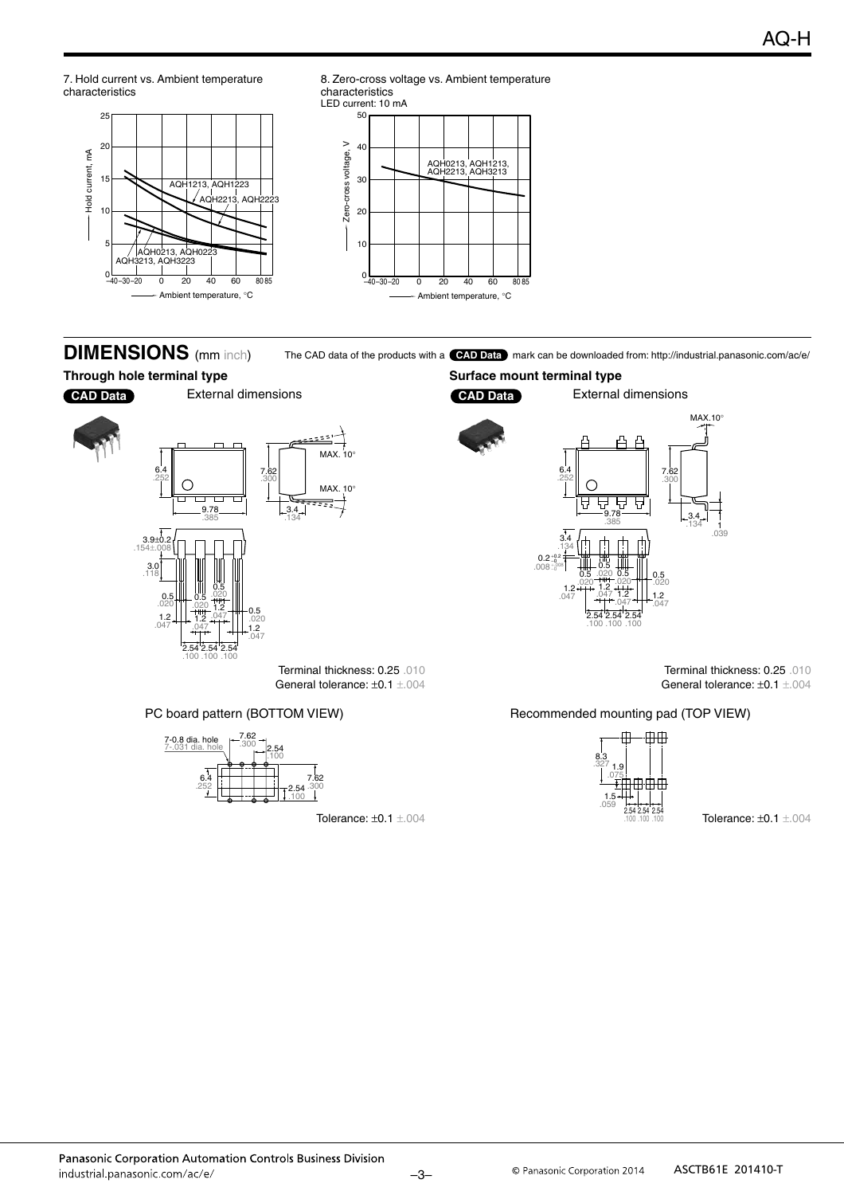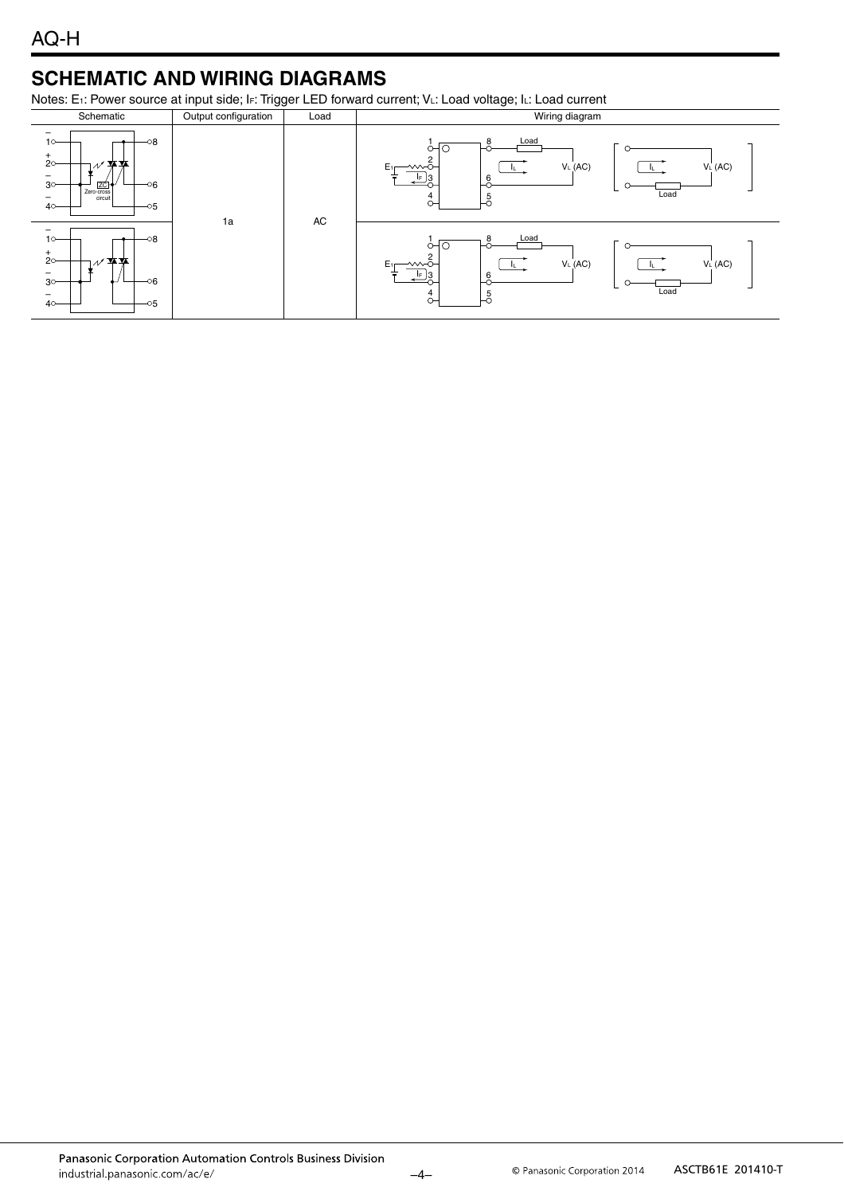## **SCHEMATIC AND WIRING DIAGRAMS**

Notes: E<sub>1</sub>: Power source at input side; I<sub>F</sub>: Trigger LED forward current; VL: Load voltage; IL: Load current

| Schematic                                                                                                                                                           | Output configuration | Load | Wiring diagram                                                                                                 |
|---------------------------------------------------------------------------------------------------------------------------------------------------------------------|----------------------|------|----------------------------------------------------------------------------------------------------------------|
| -08<br>$10 -$<br>$+$<br>20<br>≖≖<br>$\overline{\phantom{0}}$<br>3 <sup>o</sup><br>-06<br>ZC-<br>Zero-cross<br>circuit<br>$\overline{\phantom{0}}$<br>$40-$<br>$-05$ | 1a                   | AC   | Load<br>8<br>E <sub>1</sub><br>V <sub>L</sub> (AC)<br>V <sub>L</sub> (AC)<br>∼∼<br>6<br>13<br>IF<br>Load<br>0- |
| -<br>$80-$<br>$10-$<br>$+$<br>$2^{\circ}$<br>≖≖<br>$\qquad \qquad -$<br>-06<br>3 <sup>o</sup><br>$\qquad \qquad$<br>$40-$<br>$-05$                                  |                      |      | Load<br>E <sub>1</sub><br>V <sub>L</sub> (AC)<br>V <sub>L</sub> (AC)<br>∽∼<br>6<br>Load<br>0-                  |